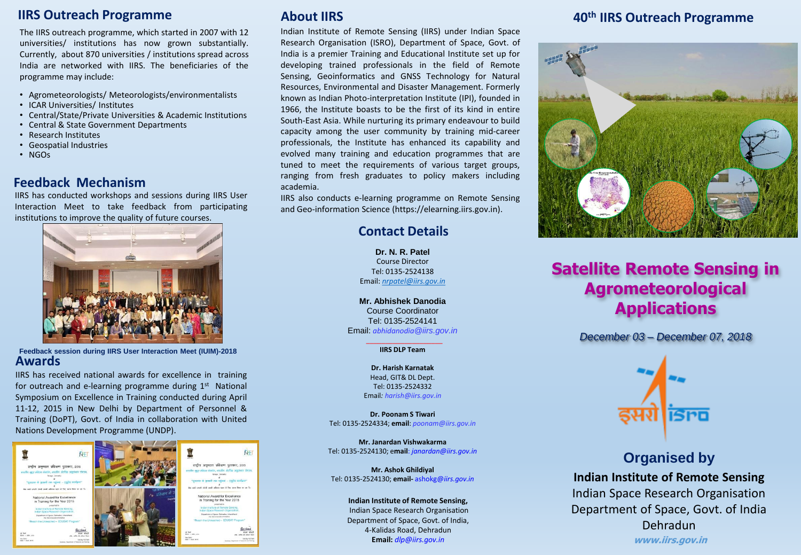### **IIRS Outreach Programme**

The IIRS outreach programme, which started in 2007 with 12 universities/ institutions has now grown substantially. Currently, about 870 universities / institutions spread across India are networked with IIRS. The beneficiaries of the programme may include:

- Agrometeorologists/ Meteorologists/environmentalists
- ICAR Universities/ Institutes
- Central/State/Private Universities & Academic Institutions
- Central & State Government Departments
- Research Institutes
- Geospatial Industries
- NGOs

#### **Feedback Mechanism**

IIRS has conducted workshops and sessions during IIRS User Interaction Meet to take feedback from participating institutions to improve the quality of future courses.



**Feedback session during IIRS User Interaction Meet (IUIM)-2018 Awards**

IIRS has received national awards for excellence in training for outreach and e-learning programme during 1<sup>st</sup> National Symposium on Excellence in Training conducted during April 11-12, 2015 in New Delhi by Department of Personnel & Training (DoPT), Govt. of India in collaboration with United Nations Development Programme (UNDP).



### **About IIRS**

Indian Institute of Remote Sensing (IIRS) under Indian Space Research Organisation (ISRO), Department of Space, Govt. of India is a premier Training and Educational Institute set up for developing trained professionals in the field of Remote Sensing, Geoinformatics and GNSS Technology for Natural Resources, Environmental and Disaster Management. Formerly known as Indian Photo-interpretation Institute (IPI), founded in 1966, the Institute boasts to be the first of its kind in entire South-East Asia. While nurturing its primary endeavour to build capacity among the user community by training mid-career professionals, the Institute has enhanced its capability and evolved many training and education programmes that are tuned to meet the requirements of various target groups, ranging from fresh graduates to policy makers including academia.

IIRS also conducts e-learning programme on Remote Sensing and Geo-information Science (https://elearning.iirs.gov.in).

#### **Contact Details**

**Dr. N. R. Patel** Course Director Tel: 0135-2524138 Email: *[nrpatel@iirs.gov.in](mailto:nrpatel@iirs.gov.in)*

**Mr. Abhishek Danodia** Course Coordinator Tel: 0135-2524141 Email: *abhidanodia@iirs.gov.in*

> \_\_\_\_\_\_\_\_\_\_\_\_\_\_\_\_\_\_\_\_ **IIRS DLP Team**

**Dr. Harish Karnatak** Head, GIT& DL Dept. Tel: 0135-2524332 Email*: harish@iirs.gov.in*

**Dr. Poonam S Tiwari** Tel: 0135-2524334; **email**: *poonam@iirs.gov.in*

**Mr. Janardan Vishwakarma** Tel: 0135-2524130; e**mail**: *janardan@iirs.gov.in*

**Mr. Ashok Ghildiyal** Tel: 0135-2524130; **email-** ashokg@*iirs.gov.in*

#### **Indian Institute of Remote Sensing,**

Indian Space Research Organisation Department of Space, Govt. of India, 4-Kalidas Road, Dehradun **Email:** *dlp@iirs.gov.in*

# **40th IIRS Outreach Programme**



# **Satellite Remote Sensing in Agrometeorological Applications**

*December 03 – December 07, 2018*



# **Organised by Indian Institute of Remote Sensing** Indian Space Research Organisation Department of Space, Govt. of India Dehradun **www.iirs.gov.in**